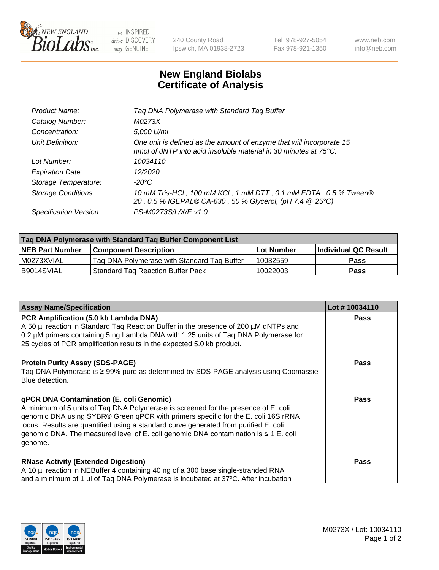

 $be$  INSPIRED drive DISCOVERY stay GENUINE

240 County Road Ipswich, MA 01938-2723 Tel 978-927-5054 Fax 978-921-1350 www.neb.com info@neb.com

## **New England Biolabs Certificate of Analysis**

| Product Name:              | Tag DNA Polymerase with Standard Tag Buffer                                                                                              |
|----------------------------|------------------------------------------------------------------------------------------------------------------------------------------|
| Catalog Number:            | M0273X                                                                                                                                   |
| Concentration:             | 5,000 U/ml                                                                                                                               |
| Unit Definition:           | One unit is defined as the amount of enzyme that will incorporate 15<br>nmol of dNTP into acid insoluble material in 30 minutes at 75°C. |
| Lot Number:                | 10034110                                                                                                                                 |
| <b>Expiration Date:</b>    | 12/2020                                                                                                                                  |
| Storage Temperature:       | $-20^{\circ}$ C                                                                                                                          |
| <b>Storage Conditions:</b> | 10 mM Tris-HCl, 100 mM KCl, 1 mM DTT, 0.1 mM EDTA, 0.5 % Tween®<br>20, 0.5 % IGEPAL® CA-630, 50 % Glycerol, (pH 7.4 @ 25°C)              |
| Specification Version:     | PS-M0273S/L/X/E v1.0                                                                                                                     |
|                            |                                                                                                                                          |

| Tag DNA Polymerase with Standard Tag Buffer Component List |                                             |                   |                      |  |
|------------------------------------------------------------|---------------------------------------------|-------------------|----------------------|--|
| <b>NEB Part Number</b>                                     | <b>Component Description</b>                | <b>Lot Number</b> | Individual QC Result |  |
| l M0273XVIAL                                               | Tag DNA Polymerase with Standard Tag Buffer | 10032559          | <b>Pass</b>          |  |
| B9014SVIAL                                                 | <b>Standard Tag Reaction Buffer Pack</b>    | 10022003          | <b>Pass</b>          |  |

| <b>Assay Name/Specification</b>                                                                                                                                                                                                                                                                                                                                                                                    | Lot #10034110 |
|--------------------------------------------------------------------------------------------------------------------------------------------------------------------------------------------------------------------------------------------------------------------------------------------------------------------------------------------------------------------------------------------------------------------|---------------|
| PCR Amplification (5.0 kb Lambda DNA)<br>A 50 µl reaction in Standard Taq Reaction Buffer in the presence of 200 µM dNTPs and<br>0.2 µM primers containing 5 ng Lambda DNA with 1.25 units of Taq DNA Polymerase for<br>25 cycles of PCR amplification results in the expected 5.0 kb product.                                                                                                                     | <b>Pass</b>   |
| <b>Protein Purity Assay (SDS-PAGE)</b><br>Taq DNA Polymerase is ≥ 99% pure as determined by SDS-PAGE analysis using Coomassie<br>Blue detection.                                                                                                                                                                                                                                                                   | <b>Pass</b>   |
| qPCR DNA Contamination (E. coli Genomic)<br>A minimum of 5 units of Taq DNA Polymerase is screened for the presence of E. coli<br>genomic DNA using SYBR® Green qPCR with primers specific for the E. coli 16S rRNA<br>locus. Results are quantified using a standard curve generated from purified E. coli<br>genomic DNA. The measured level of E. coli genomic DNA contamination is $\leq 1$ E. coli<br>genome. | <b>Pass</b>   |
| <b>RNase Activity (Extended Digestion)</b><br>A 10 µl reaction in NEBuffer 4 containing 40 ng of a 300 base single-stranded RNA<br>and a minimum of 1 µl of Taq DNA Polymerase is incubated at 37°C. After incubation                                                                                                                                                                                              | <b>Pass</b>   |